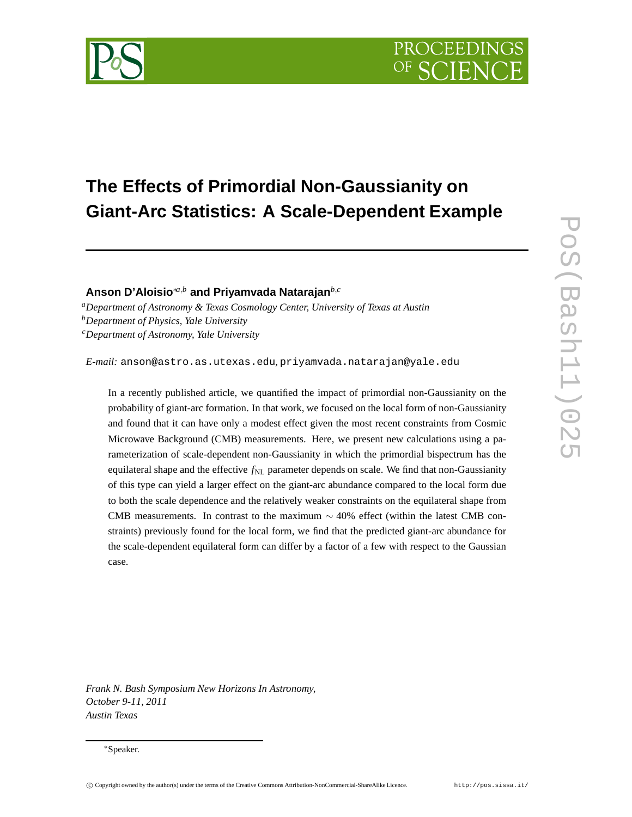

## **The Effects of Primordial Non-Gaussianity on Giant-Arc Statistics: A Scale-Dependent Example**

**Anson D'Aloisio**∗*a*,*<sup>b</sup>* **and Priyamvada Natarajan***b*,*<sup>c</sup>*

*<sup>a</sup>Department of Astronomy & Texas Cosmology Center, University of Texas at Austin <sup>b</sup>Department of Physics, Yale University*

*<sup>c</sup>Department of Astronomy, Yale University*

*E-mail:* anson@astro.as.utexas.edu*,* priyamvada.natarajan@yale.edu

In a recently published article, we quantified the impact of primordial non-Gaussianity on the probability of giant-arc formation. In that work, we focused on the local form of non-Gaussianity and found that it can have only a modest effect given the most recent constraints from Cosmic Microwave Background (CMB) measurements. Here, we present new calculations using a parameterization of scale-dependent non-Gaussianity in which the primordial bispectrum has the equilateral shape and the effective  $f_{NL}$  parameter depends on scale. We find that non-Gaussianity of this type can yield a larger effect on the giant-arc abundance compared to the local form due to both the scale dependence and the relatively weaker constraints on the equilateral shape from CMB measurements. In contrast to the maximum  $\sim$  40% effect (within the latest CMB constraints) previously found for the local form, we find that the predicted giant-arc abundance for the scale-dependent equilateral form can differ by a factor of a few with respect to the Gaussian case.

*Frank N. Bash Symposium New Horizons In Astronomy, October 9-11, 2011 Austin Texas*

<sup>∗</sup>Speaker.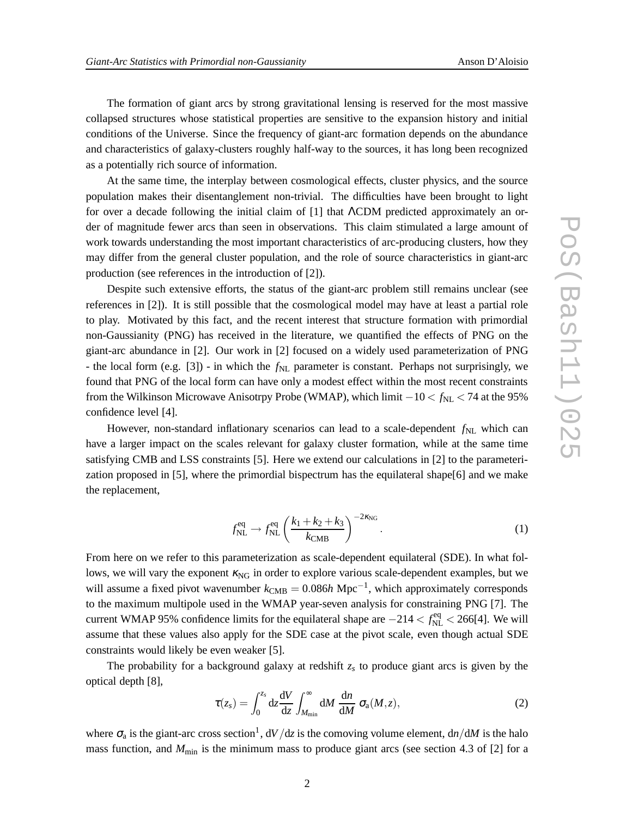The formation of giant arcs by strong gravitational lensing is reserved for the most massive collapsed structures whose statistical properties are sensitive to the expansion history and initial conditions of the Universe. Since the frequency of giant-arc formation depends on the abundance and characteristics of galaxy-clusters roughly half-way to the sources, it has long been recognized as a potentially rich source of information.

At the same time, the interplay between cosmological effects, cluster physics, and the source population makes their disentanglement non-trivial. The difficulties have been brought to light for over a decade following the initial claim of [1] that ΛCDM predicted approximately an order of magnitude fewer arcs than seen in observations. This claim stimulated a large amount of work towards understanding the most important characteristics of arc-producing clusters, how they may differ from the general cluster population, and the role of source characteristics in giant-arc production (see references in the introduction of [2]).

Despite such extensive efforts, the status of the giant-arc problem still remains unclear (see references in [2]). It is still possible that the cosmological model may have at least a partial role to play. Motivated by this fact, and the recent interest that structure formation with primordial non-Gaussianity (PNG) has received in the literature, we quantified the effects of PNG on the giant-arc abundance in [2]. Our work in [2] focused on a widely used parameterization of PNG - the local form (e.g. [3]) - in which the  $f_{NL}$  parameter is constant. Perhaps not surprisingly, we found that PNG of the local form can have only a modest effect within the most recent constraints from the Wilkinson Microwave Anisotrpy Probe (WMAP), which limit  $-10 < f_{NL} < 74$  at the 95% confidence level [4].

However, non-standard inflationary scenarios can lead to a scale-dependent  $f_{NL}$  which can have a larger impact on the scales relevant for galaxy cluster formation, while at the same time satisfying CMB and LSS constraints [5]. Here we extend our calculations in [2] to the parameterization proposed in [5], where the primordial bispectrum has the equilateral shape[6] and we make the replacement,

$$
f_{\rm NL}^{\rm eq} \to f_{\rm NL}^{\rm eq} \left( \frac{k_1 + k_2 + k_3}{k_{\rm CMB}} \right)^{-2k_{\rm NG}}.
$$
 (1)

From here on we refer to this parameterization as scale-dependent equilateral (SDE). In what follows, we will vary the exponent κ<sub>NG</sub> in order to explore various scale-dependent examples, but we will assume a fixed pivot wavenumber  $k_{\text{CMB}} = 0.086h \text{ Mpc}^{-1}$ , which approximately corresponds to the maximum multipole used in the WMAP year-seven analysis for constraining PNG [7]. The current WMAP 95% confidence limits for the equilateral shape are  $-214 < f_{NL}^{eq} < 266[4]$ . We will assume that these values also apply for the SDE case at the pivot scale, even though actual SDE constraints would likely be even weaker [5].

The probability for a background galaxy at redshift  $z_s$  to produce giant arcs is given by the optical depth [8],

$$
\tau(z_s) = \int_0^{z_s} dz \frac{dV}{dz} \int_{M_{\rm min}}^{\infty} dM \frac{dn}{dM} \sigma_a(M, z), \qquad (2)
$$

where  $\sigma_a$  is the giant-arc cross section<sup>1</sup>,  $dV/dz$  is the comoving volume element,  $dn/dM$  is the halo mass function, and  $M_{\text{min}}$  is the minimum mass to produce giant arcs (see section 4.3 of [2] for a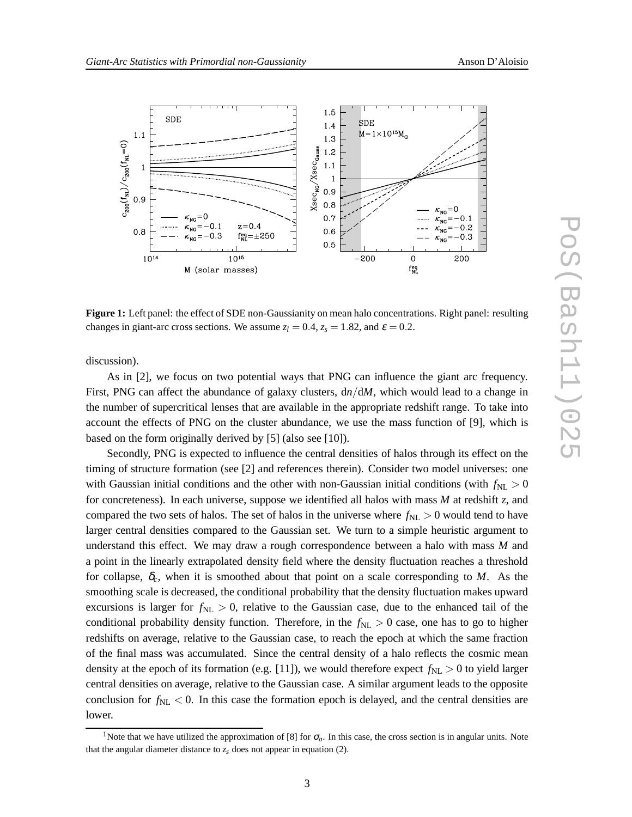

**Figure 1:** Left panel: the effect of SDE non-Gaussianity on mean halo concentrations. Right panel: resulting changes in giant-arc cross sections. We assume  $z_l = 0.4$ ,  $z_s = 1.82$ , and  $\varepsilon = 0.2$ .

discussion).

As in [2], we focus on two potential ways that PNG can influence the giant arc frequency. First, PNG can affect the abundance of galaxy clusters,  $d\eta/dM$ , which would lead to a change in the number of supercritical lenses that are available in the appropriate redshift range. To take into account the effects of PNG on the cluster abundance, we use the mass function of [9], which is based on the form originally derived by [5] (also see [10]).

Secondly, PNG is expected to influence the central densities of halos through its effect on the timing of structure formation (see [2] and references therein). Consider two model universes: one with Gaussian initial conditions and the other with non-Gaussian initial conditions (with  $f_{NL} > 0$ for concreteness). In each universe, suppose we identified all halos with mass *M* at redshift *z*, and compared the two sets of halos. The set of halos in the universe where  $f_{NL} > 0$  would tend to have larger central densities compared to the Gaussian set. We turn to a simple heuristic argument to understand this effect. We may draw a rough correspondence between a halo with mass *M* and a point in the linearly extrapolated density field where the density fluctuation reaches a threshold for collapse, <sup>δ</sup>*c*, when it is smoothed about that point on a scale corresponding to *M*. As the smoothing scale is decreased, the conditional probability that the density fluctuation makes upward excursions is larger for  $f_{NL} > 0$ , relative to the Gaussian case, due to the enhanced tail of the conditional probability density function. Therefore, in the  $f_{NL} > 0$  case, one has to go to higher redshifts on average, relative to the Gaussian case, to reach the epoch at which the same fraction of the final mass was accumulated. Since the central density of a halo reflects the cosmic mean density at the epoch of its formation (e.g. [11]), we would therefore expect  $f_{NL} > 0$  to yield larger central densities on average, relative to the Gaussian case. A similar argument leads to the opposite conclusion for  $f_{NL} < 0$ . In this case the formation epoch is delayed, and the central densities are lower.

<sup>&</sup>lt;sup>1</sup>Note that we have utilized the approximation of [8] for  $\sigma_a$ . In this case, the cross section is in angular units. Note that the angular diameter distance to  $z_s$  does not appear in equation (2).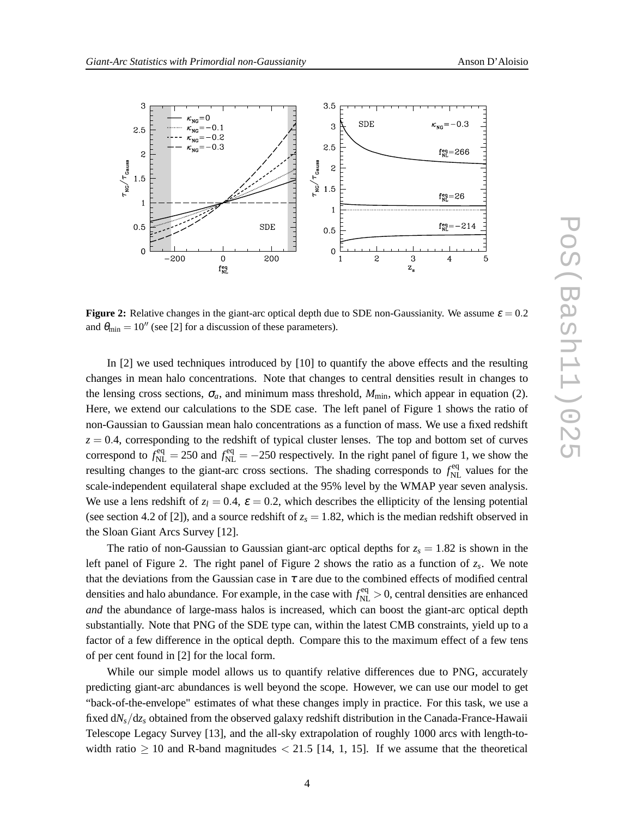

**Figure 2:** Relative changes in the giant-arc optical depth due to SDE non-Gaussianity. We assume  $\varepsilon = 0.2$ and  $\theta_{\text{min}} = 10''$  (see [2] for a discussion of these parameters).

In [2] we used techniques introduced by [10] to quantify the above effects and the resulting changes in mean halo concentrations. Note that changes to central densities result in changes to the lensing cross sections,  $\sigma_a$ , and minimum mass threshold,  $M_{\text{min}}$ , which appear in equation (2). Here, we extend our calculations to the SDE case. The left panel of Figure 1 shows the ratio of non-Gaussian to Gaussian mean halo concentrations as a function of mass. We use a fixed redshift  $z = 0.4$ , corresponding to the redshift of typical cluster lenses. The top and bottom set of curves correspond to  $f_{\text{NL}}^{\text{eq}} = 250$  and  $f_{\text{NL}}^{\text{eq}} = -250$  respectively. In the right panel of figure 1, we show the resulting changes to the giant-arc cross sections. The shading corresponds to  $f_{NL}^{\text{eq}}$  values for the scale-independent equilateral shape excluded at the 95% level by the WMAP year seven analysis. We use a lens redshift of  $z_l = 0.4$ ,  $\varepsilon = 0.2$ , which describes the ellipticity of the lensing potential (see section 4.2 of [2]), and a source redshift of  $z_s = 1.82$ , which is the median redshift observed in the Sloan Giant Arcs Survey [12].

The ratio of non-Gaussian to Gaussian giant-arc optical depths for  $z_s = 1.82$  is shown in the left panel of Figure 2. The right panel of Figure 2 shows the ratio as a function of *z<sup>s</sup>* . We note that the deviations from the Gaussian case in  $\tau$  are due to the combined effects of modified central densities and halo abundance. For example, in the case with  $f_{NL}^{eq} > 0$ , central densities are enhanced *and* the abundance of large-mass halos is increased, which can boost the giant-arc optical depth substantially. Note that PNG of the SDE type can, within the latest CMB constraints, yield up to a factor of a few difference in the optical depth. Compare this to the maximum effect of a few tens of per cent found in [2] for the local form.

While our simple model allows us to quantify relative differences due to PNG, accurately predicting giant-arc abundances is well beyond the scope. However, we can use our model to get "back-of-the-envelope" estimates of what these changes imply in practice. For this task, we use a fixed d*Ns*/d*z<sup>s</sup>* obtained from the observed galaxy redshift distribution in the Canada-France-Hawaii Telescope Legacy Survey [13], and the all-sky extrapolation of roughly 1000 arcs with length-towidth ratio  $\geq 10$  and R-band magnitudes  $\lt 21.5$  [14, 1, 15]. If we assume that the theoretical